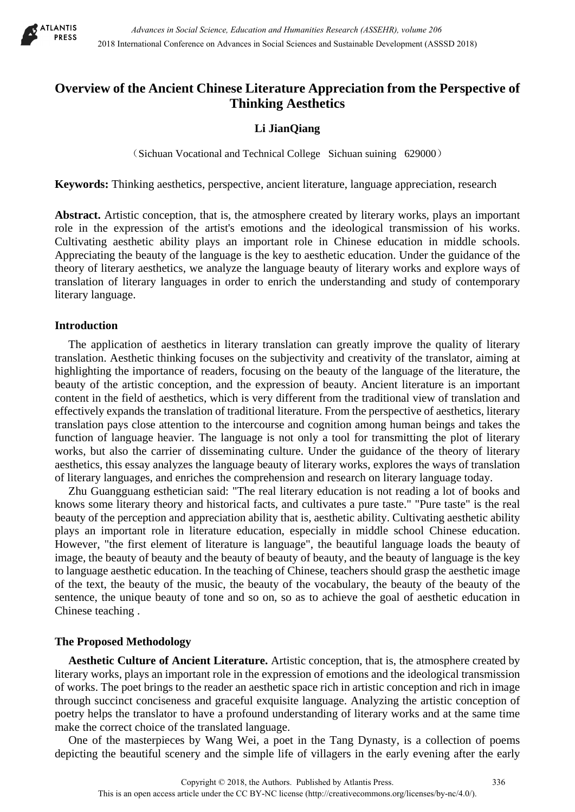

# **Overview of the Ancient Chinese Literature Appreciation from the Perspective of Thinking Aesthetics**

## **Li JianQiang**

(Sichuan Vocational and Technical College Sichuan suining 629000)

**Keywords:** Thinking aesthetics, perspective, ancient literature, language appreciation, research

**Abstract.** Artistic conception, that is, the atmosphere created by literary works, plays an important role in the expression of the artist's emotions and the ideological transmission of his works. Cultivating aesthetic ability plays an important role in Chinese education in middle schools. Appreciating the beauty of the language is the key to aesthetic education. Under the guidance of the theory of literary aesthetics, we analyze the language beauty of literary works and explore ways of translation of literary languages in order to enrich the understanding and study of contemporary literary language.

### **Introduction**

The application of aesthetics in literary translation can greatly improve the quality of literary translation. Aesthetic thinking focuses on the subjectivity and creativity of the translator, aiming at highlighting the importance of readers, focusing on the beauty of the language of the literature, the beauty of the artistic conception, and the expression of beauty. Ancient literature is an important content in the field of aesthetics, which is very different from the traditional view of translation and effectively expands the translation of traditional literature. From the perspective of aesthetics, literary translation pays close attention to the intercourse and cognition among human beings and takes the function of language heavier. The language is not only a tool for transmitting the plot of literary works, but also the carrier of disseminating culture. Under the guidance of the theory of literary aesthetics, this essay analyzes the language beauty of literary works, explores the ways of translation of literary languages, and enriches the comprehension and research on literary language today.

Zhu Guangguang esthetician said: "The real literary education is not reading a lot of books and knows some literary theory and historical facts, and cultivates a pure taste." "Pure taste" is the real beauty of the perception and appreciation ability that is, aesthetic ability. Cultivating aesthetic ability plays an important role in literature education, especially in middle school Chinese education. However, "the first element of literature is language", the beautiful language loads the beauty of image, the beauty of beauty and the beauty of beauty of beauty, and the beauty of language is the key to language aesthetic education. In the teaching of Chinese, teachers should grasp the aesthetic image of the text, the beauty of the music, the beauty of the vocabulary, the beauty of the beauty of the sentence, the unique beauty of tone and so on, so as to achieve the goal of aesthetic education in Chinese teaching .

## **The Proposed Methodology**

**Aesthetic Culture of Ancient Literature.** Artistic conception, that is, the atmosphere created by literary works, plays an important role in the expression of emotions and the ideological transmission of works. The poet brings to the reader an aesthetic space rich in artistic conception and rich in image through succinct conciseness and graceful exquisite language. Analyzing the artistic conception of poetry helps the translator to have a profound understanding of literary works and at the same time make the correct choice of the translated language.

One of the masterpieces by Wang Wei, a poet in the Tang Dynasty, is a collection of poems depicting the beautiful scenery and the simple life of villagers in the early evening after the early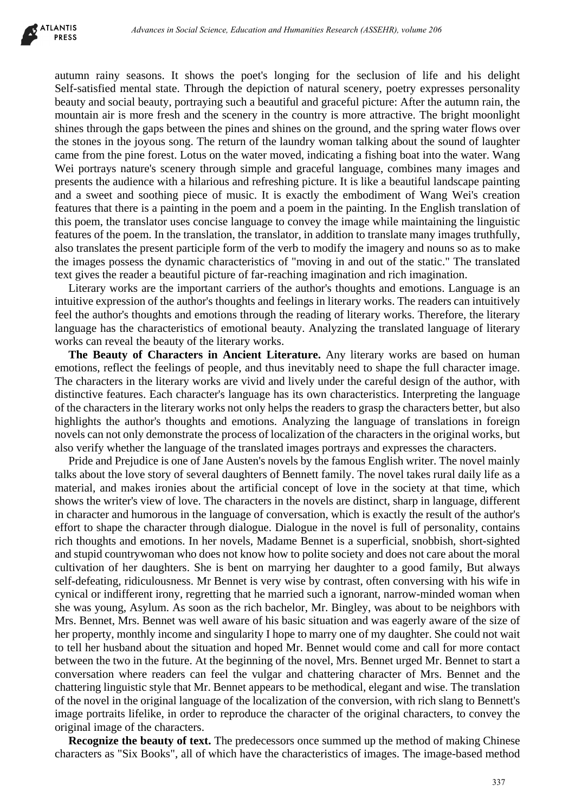

autumn rainy seasons. It shows the poet's longing for the seclusion of life and his delight Self-satisfied mental state. Through the depiction of natural scenery, poetry expresses personality beauty and social beauty, portraying such a beautiful and graceful picture: After the autumn rain, the mountain air is more fresh and the scenery in the country is more attractive. The bright moonlight shines through the gaps between the pines and shines on the ground, and the spring water flows over the stones in the joyous song. The return of the laundry woman talking about the sound of laughter came from the pine forest. Lotus on the water moved, indicating a fishing boat into the water. Wang Wei portrays nature's scenery through simple and graceful language, combines many images and presents the audience with a hilarious and refreshing picture. It is like a beautiful landscape painting and a sweet and soothing piece of music. It is exactly the embodiment of Wang Wei's creation features that there is a painting in the poem and a poem in the painting. In the English translation of this poem, the translator uses concise language to convey the image while maintaining the linguistic features of the poem. In the translation, the translator, in addition to translate many images truthfully, also translates the present participle form of the verb to modify the imagery and nouns so as to make the images possess the dynamic characteristics of "moving in and out of the static." The translated text gives the reader a beautiful picture of far-reaching imagination and rich imagination.

Literary works are the important carriers of the author's thoughts and emotions. Language is an intuitive expression of the author's thoughts and feelings in literary works. The readers can intuitively feel the author's thoughts and emotions through the reading of literary works. Therefore, the literary language has the characteristics of emotional beauty. Analyzing the translated language of literary works can reveal the beauty of the literary works.

**The Beauty of Characters in Ancient Literature.** Any literary works are based on human emotions, reflect the feelings of people, and thus inevitably need to shape the full character image. The characters in the literary works are vivid and lively under the careful design of the author, with distinctive features. Each character's language has its own characteristics. Interpreting the language of the characters in the literary works not only helps the readers to grasp the characters better, but also highlights the author's thoughts and emotions. Analyzing the language of translations in foreign novels can not only demonstrate the process of localization of the characters in the original works, but also verify whether the language of the translated images portrays and expresses the characters.

Pride and Prejudice is one of Jane Austen's novels by the famous English writer. The novel mainly talks about the love story of several daughters of Bennett family. The novel takes rural daily life as a material, and makes ironies about the artificial concept of love in the society at that time, which shows the writer's view of love. The characters in the novels are distinct, sharp in language, different in character and humorous in the language of conversation, which is exactly the result of the author's effort to shape the character through dialogue. Dialogue in the novel is full of personality, contains rich thoughts and emotions. In her novels, Madame Bennet is a superficial, snobbish, short-sighted and stupid countrywoman who does not know how to polite society and does not care about the moral cultivation of her daughters. She is bent on marrying her daughter to a good family, But always self-defeating, ridiculousness. Mr Bennet is very wise by contrast, often conversing with his wife in cynical or indifferent irony, regretting that he married such a ignorant, narrow-minded woman when she was young, Asylum. As soon as the rich bachelor, Mr. Bingley, was about to be neighbors with Mrs. Bennet, Mrs. Bennet was well aware of his basic situation and was eagerly aware of the size of her property, monthly income and singularity I hope to marry one of my daughter. She could not wait to tell her husband about the situation and hoped Mr. Bennet would come and call for more contact between the two in the future. At the beginning of the novel, Mrs. Bennet urged Mr. Bennet to start a conversation where readers can feel the vulgar and chattering character of Mrs. Bennet and the chattering linguistic style that Mr. Bennet appears to be methodical, elegant and wise. The translation of the novel in the original language of the localization of the conversion, with rich slang to Bennett's image portraits lifelike, in order to reproduce the character of the original characters, to convey the original image of the characters. deness in Social Science, Education and Humanities Research (ASSEHR), where 266<br>encomes. It shows the poet's longing for the seculation of fits and his delay<br>constant. It shows the poetical of natural scenesy, poetica proc

**Recognize the beauty of text.** The predecessors once summed up the method of making Chinese characters as "Six Books", all of which have the characteristics of images. The image-based method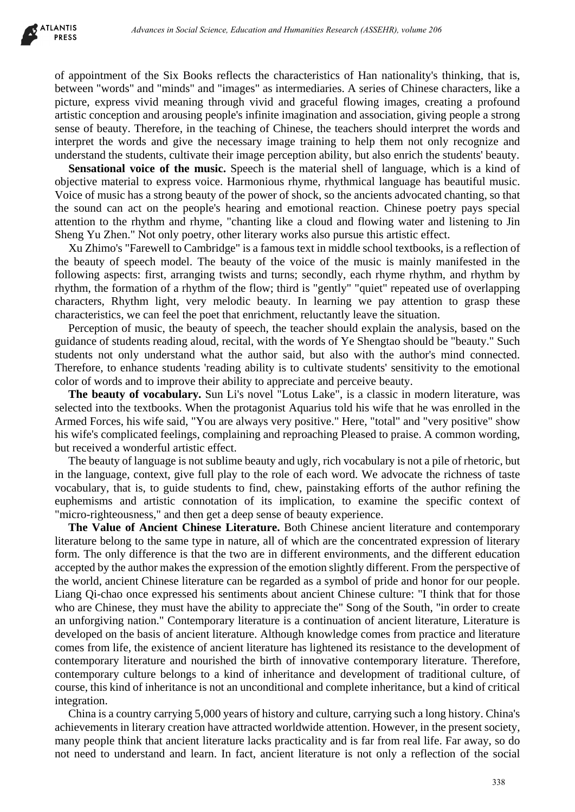of appointment of the Six Books reflects the characteristics of Han nationality's thinking, that is, between "words" and "minds" and "images" as intermediaries. A series of Chinese characters, like a picture, express vivid meaning through vivid and graceful flowing images, creating a profound artistic conception and arousing people's infinite imagination and association, giving people a strong sense of beauty. Therefore, in the teaching of Chinese, the teachers should interpret the words and interpret the words and give the necessary image training to help them not only recognize and understand the students, cultivate their image perception ability, but also enrich the students' beauty.

**Sensational voice of the music.** Speech is the material shell of language, which is a kind of objective material to express voice. Harmonious rhyme, rhythmical language has beautiful music. Voice of music has a strong beauty of the power of shock, so the ancients advocated chanting, so that the sound can act on the people's hearing and emotional reaction. Chinese poetry pays special attention to the rhythm and rhyme, "chanting like a cloud and flowing water and listening to Jin Sheng Yu Zhen." Not only poetry, other literary works also pursue this artistic effect.

Xu Zhimo's "Farewell to Cambridge" is a famous text in middle school textbooks, is a reflection of the beauty of speech model. The beauty of the voice of the music is mainly manifested in the following aspects: first, arranging twists and turns; secondly, each rhyme rhythm, and rhythm by rhythm, the formation of a rhythm of the flow; third is "gently" "quiet" repeated use of overlapping characters, Rhythm light, very melodic beauty. In learning we pay attention to grasp these characteristics, we can feel the poet that enrichment, reluctantly leave the situation.

Perception of music, the beauty of speech, the teacher should explain the analysis, based on the guidance of students reading aloud, recital, with the words of Ye Shengtao should be "beauty." Such students not only understand what the author said, but also with the author's mind connected. Therefore, to enhance students 'reading ability is to cultivate students' sensitivity to the emotional color of words and to improve their ability to appreciate and perceive beauty.

**The beauty of vocabulary.** Sun Li's novel "Lotus Lake", is a classic in modern literature, was selected into the textbooks. When the protagonist Aquarius told his wife that he was enrolled in the Armed Forces, his wife said, "You are always very positive." Here, "total" and "very positive" show his wife's complicated feelings, complaining and reproaching Pleased to praise. A common wording, but received a wonderful artistic effect.

The beauty of language is not sublime beauty and ugly, rich vocabulary is not a pile of rhetoric, but in the language, context, give full play to the role of each word. We advocate the richness of taste vocabulary, that is, to guide students to find, chew, painstaking efforts of the author refining the euphemisms and artistic connotation of its implication, to examine the specific context of "micro-righteousness," and then get a deep sense of beauty experience.

**The Value of Ancient Chinese Literature.** Both Chinese ancient literature and contemporary literature belong to the same type in nature, all of which are the concentrated expression of literary form. The only difference is that the two are in different environments, and the different education accepted by the author makes the expression of the emotion slightly different. From the perspective of the world, ancient Chinese literature can be regarded as a symbol of pride and honor for our people. Liang Qi-chao once expressed his sentiments about ancient Chinese culture: "I think that for those who are Chinese, they must have the ability to appreciate the" Song of the South, "in order to create an unforgiving nation." Contemporary literature is a continuation of ancient literature, Literature is developed on the basis of ancient literature. Although knowledge comes from practice and literature comes from life, the existence of ancient literature has lightened its resistance to the development of contemporary literature and nourished the birth of innovative contemporary literature. Therefore, contemporary culture belongs to a kind of inheritance and development of traditional culture, of course, this kind of inheritance is not an unconditional and complete inheritance, but a kind of critical integration. debenera in Social Science, Education and Humanities Besons in Stigatific, where 266<br>
Advances in Social Science state characteristics of Hum mationality's thinking, that<br>
and "ninds" and "ninds" and "inaps" as intermediat

China is a country carrying 5,000 years of history and culture, carrying such a long history. China's achievements in literary creation have attracted worldwide attention. However, in the present society, many people think that ancient literature lacks practicality and is far from real life. Far away, so do not need to understand and learn. In fact, ancient literature is not only a reflection of the social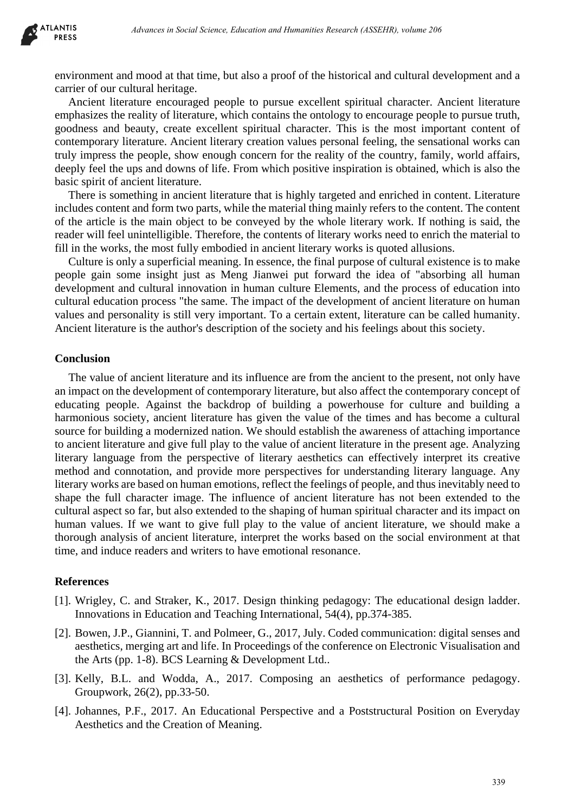

environment and mood at that time, but also a proof of the historical and cultural development and a carrier of our cultural heritage.

Ancient literature encouraged people to pursue excellent spiritual character. Ancient literature emphasizes the reality of literature, which contains the ontology to encourage people to pursue truth, goodness and beauty, create excellent spiritual character. This is the most important content of contemporary literature. Ancient literary creation values personal feeling, the sensational works can truly impress the people, show enough concern for the reality of the country, family, world affairs, deeply feel the ups and downs of life. From which positive inspiration is obtained, which is also the basic spirit of ancient literature.

There is something in ancient literature that is highly targeted and enriched in content. Literature includes content and form two parts, while the material thing mainly refers to the content. The content of the article is the main object to be conveyed by the whole literary work. If nothing is said, the reader will feel unintelligible. Therefore, the contents of literary works need to enrich the material to fill in the works, the most fully embodied in ancient literary works is quoted allusions.

Culture is only a superficial meaning. In essence, the final purpose of cultural existence is to make people gain some insight just as Meng Jianwei put forward the idea of "absorbing all human development and cultural innovation in human culture Elements, and the process of education into cultural education process "the same. The impact of the development of ancient literature on human values and personality is still very important. To a certain extent, literature can be called humanity. Ancient literature is the author's description of the society and his feelings about this society.

#### **Conclusion**

The value of ancient literature and its influence are from the ancient to the present, not only have an impact on the development of contemporary literature, but also affect the contemporary concept of educating people. Against the backdrop of building a powerhouse for culture and building a harmonious society, ancient literature has given the value of the times and has become a cultural source for building a modernized nation. We should establish the awareness of attaching importance to ancient literature and give full play to the value of ancient literature in the present age. Analyzing literary language from the perspective of literary aesthetics can effectively interpret its creative method and connotation, and provide more perspectives for understanding literary language. Any literary works are based on human emotions, reflect the feelings of people, and thus inevitably need to shape the full character image. The influence of ancient literature has not been extended to the cultural aspect so far, but also extended to the shaping of human spiritual character and its impact on human values. If we want to give full play to the value of ancient literature, we should make a thorough analysis of ancient literature, interpret the works based on the social environment at that time, and induce readers and writers to have emotional resonance. *Advances in Social Science, Education and Humanities Research (ASSEHR), where 266*<br>
Hurod at that time, but also a proof of the historical and calcural development in<br>
the dheilaye.<br>
Hurod and Humanities Research (Microso

#### **References**

- [1]. Wrigley, C. and Straker, K., 2017. Design thinking pedagogy: The educational design ladder. Innovations in Education and Teaching International, 54(4), pp.374-385.
- [2]. Bowen, J.P., Giannini, T. and Polmeer, G., 2017, July. Coded communication: digital senses and aesthetics, merging art and life. In Proceedings of the conference on Electronic Visualisation and the Arts (pp. 1-8). BCS Learning & Development Ltd..
- [3]. Kelly, B.L. and Wodda, A., 2017. Composing an aesthetics of performance pedagogy. Groupwork, 26(2), pp.33-50.
- [4]. Johannes, P.F., 2017. An Educational Perspective and a Poststructural Position on Everyday Aesthetics and the Creation of Meaning.